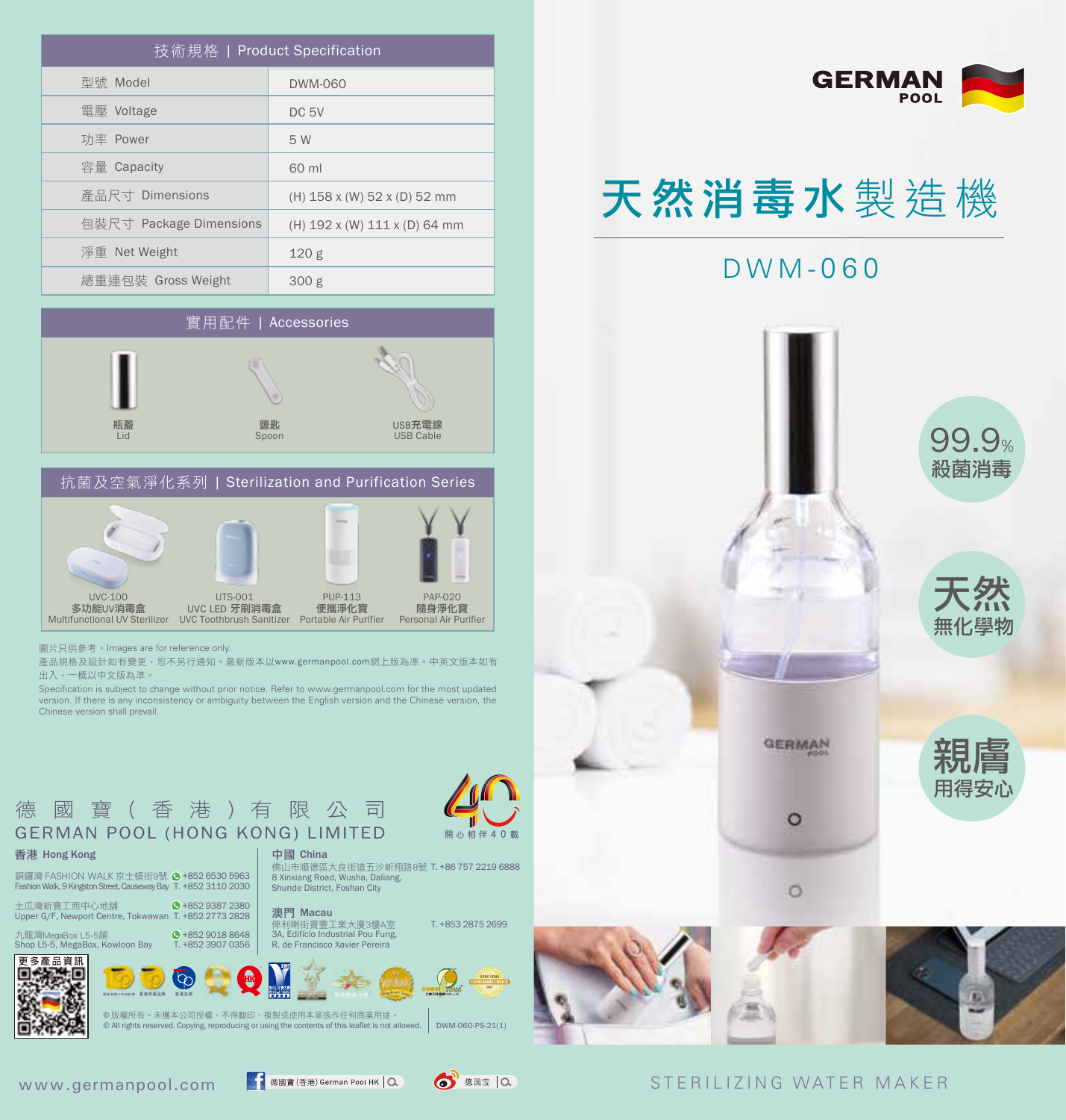| 技術規格   Product Specification |                               |
|------------------------------|-------------------------------|
| 型號 Model                     | DWM-060                       |
| 電壓 Voltage                   | DC <sub>5V</sub>              |
| 功率 Power                     | 5 W                           |
| 容量 Capacity                  | 60 ml                         |
| 産品尺寸 Dimensions              | (H) 158 x (W) 52 x (D) 52 mm  |
| 包裝尺寸 Package Dimensions      | (H) 192 x (W) 111 x (D) 64 mm |
| 淨重 Net Weight                | 120 <sub>g</sub>              |
| 總重連包裝 Gross Weight           | 300 g                         |





圖片只供參考。Images are for reference only.

產品規格及設計如有變更,恕不另行通知。最新版本以www.germanpool.com網上版為準。中英文版本如有 出入,一概以中文版為準。

Specification is subject to change without prior notice. Refer to www.germanpool.com for the most updated version. If there is any inconsistency or ambiguity between the English version and the Chinese version, the Chinese version shall prevail.



銅鑼灣 FASHION WALK 京士頓街9號 ● +852 6530 5963 Fashion Walk, 9 Kingston Street, Causeway Bay T. +852 3110 2030

土瓜灣新寶工商中心地舖 Upper G/F, Newport Centre, Tokwawan T. +852 2773 2828 +852 9387 2380

 +852 9018 8648 澳門 Macau

T. +853 2875 2699 俾利喇街寶豐工業大廈3樓A室 3A, Edifício Industrial Pou Fung,

佛山市順德區大良街道五沙新翔路8號 T. +86 757 2219 6888<br>8 Xinxiang Road, Wusha, Daliang,



© 版權所有。未獲本公司授權,不得翻印、複製或使用本單張作任何商業用途。 © All rights reserved. Copying, reproducing or using the contents of this leaflet is not allowed.



Shunde District, Foshan City



# 天然消毒水 製造機















DWM-060-PS-21(1)

開心相伴 4 0 載

#### STERILIZING WATER MAKER